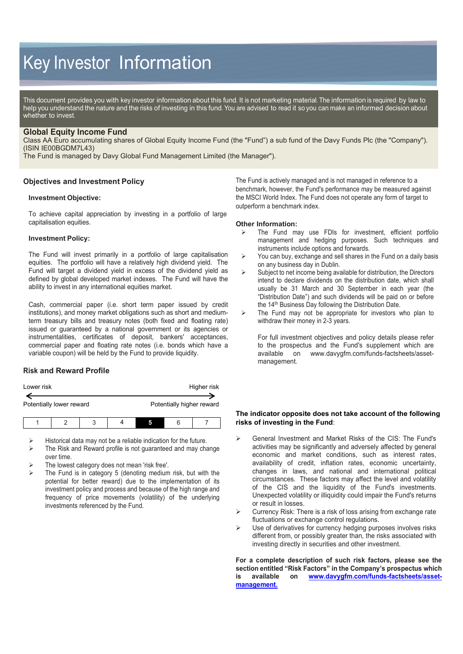# Key Investor Information

This document provides you with key investor information about this fund. It is not marketing material. The information is required by law to help you understand the nature and the risks of investing in this fund. You are advised to read it so you can make an informed decision about whether to invest.

## **Global Equity Income Fund**

Class AA Euro accumulating shares of Global Equity Income Fund (the "Fund") a sub fund of the Davy Funds Plc (the "Company"). (ISIN IE00BGDM7L43)

The Fund is managed by Davy Global Fund Management Limited (the Manager").

# **Objectives and Investment Policy**

#### **Investment Objective:**

To achieve capital appreciation by investing in a portfolio of large capitalisation equities.

#### **Investment Policy:**

The Fund will invest primarily in a portfolio of large capitalisation equities. The portfolio will have a relatively high dividend yield. The Fund will target a dividend yield in excess of the dividend yield as defined by global developed market indexes. The Fund will have the ability to invest in any international equities market.

Cash, commercial paper (i.e. short term paper issued by credit institutions), and money market obligations such as short and mediumterm treasury bills and treasury notes (both fixed and floating rate) issued or guaranteed by a national government or its agencies or instrumentalities, certificates of deposit, bankers' acceptances, commercial paper and floating rate notes (i.e. bonds which have a variable coupon) will be held by the Fund to provide liquidity.

# **Risk and Reward Profile**

| Lower risk               |  |   |  |   | Higher risk               |
|--------------------------|--|---|--|---|---------------------------|
| Potentially lower reward |  |   |  |   | Potentially higher reward |
|                          |  | ີ |  | 6 |                           |

Historical data may not be a reliable indication for the future.

- The Risk and Reward profile is not guaranteed and may change over time.
- The lowest category does not mean 'risk free'.
- The Fund is in category 5 (denoting medium risk, but with the potential for better reward) due to the implementation of its investment policy and process and because of the high range and frequency of price movements (volatility) of the underlying investments referenced by the Fund.

The Fund is actively managed and is not managed in reference to a benchmark, however, the Fund's performance may be measured against the MSCI World Index. The Fund does not operate any form of target to outperform a benchmark index.

#### **Other Information:**

- The Fund may use FDIs for investment, efficient portfolio management and hedging purposes. Such techniques and instruments include options and forwards.
- $\triangleright$  You can buy, exchange and sell shares in the Fund on a daily basis on any business day in Dublin.
- $\triangleright$  Subject to net income being available for distribution, the Directors intend to declare dividends on the distribution date, which shall usually be 31 March and 30 September in each year (the "Distribution Date") and such dividends will be paid on or before the 14<sup>th</sup> Business Day following the Distribution Date.
- $\triangleright$  The Fund may not be appropriate for investors who plan to withdraw their money in 2-3 years.

For full investment objectives and policy details please refer to the prospectus and the Fund's supplement which are available on www.davygfm.com/funds-factsheets/asset[www.davygfm.com/funds-factsheets/asset](http://www.davygfm.com/funds-factsheets/asset-management)[management.](http://www.davygfm.com/funds-factsheets/asset-management)

#### **The indicator opposite does not take account of the following risks of investing in the Fund**:

- General Investment and Market Risks of the CIS: The Fund's activities may be significantly and adversely affected by general economic and market conditions, such as interest rates, availability of credit, inflation rates, economic uncertainty, changes in laws, and national and international political circumstances. These factors may affect the level and volatility of the CIS and the liquidity of the Fund's investments. Unexpected volatility or illiquidity could impair the Fund's returns or result in losses.
- $\triangleright$  Currency Risk: There is a risk of loss arising from exchange rate fluctuations or exchange control regulations.
- $\triangleright$  Use of derivatives for currency hedging purposes involves risks different from, or possibly greater than, the risks associated with investing directly in securities and other investment.

**For a complete description of such risk factors, please see the section entitled "Risk Factors" in the Company's prospectus which is available on [www.davygfm.com/funds-factsheets/asset](http://www.davygfm.com/funds-factsheets/asset-management)[management.](http://www.davygfm.com/funds-factsheets/asset-management)**